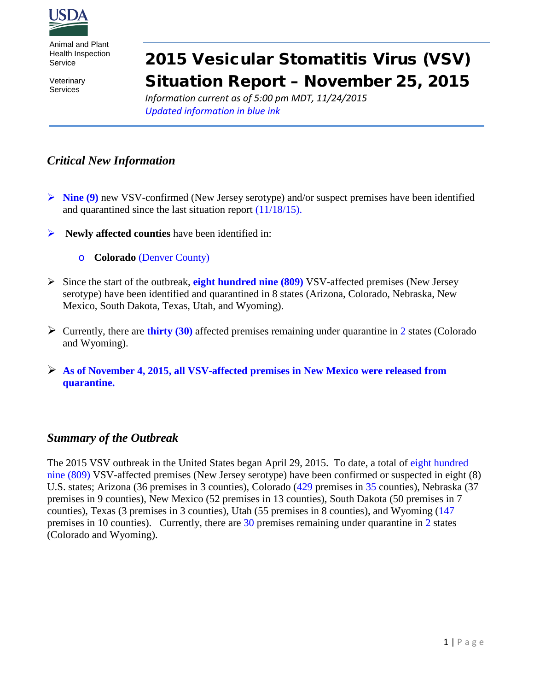

Animal and Plant Health Inspection Service

**Veterinary** Services

# 2015 Vesicular Stomatitis Virus (VSV) Situation Report – November 25, 2015

*Information current as of 5:00 pm MDT, 11/24/2015 Updated information in blue ink*

# *Critical New Information*

- **EXECUTE:** Nine (9) new VSV-confirmed (New Jersey serotype) and/or suspect premises have been identified and quarantined since the last situation report (11/18/15).
- **Newly affected counties** have been identified in:
	- o **Colorado** (Denver County)
- Since the start of the outbreak, **eight hundred nine (809)** VSV-affected premises (New Jersey serotype) have been identified and quarantined in 8 states (Arizona, Colorado, Nebraska, New Mexico, South Dakota, Texas, Utah, and Wyoming).
- Currently, there are **thirty (30)** affected premises remaining under quarantine in 2 states (Colorado and Wyoming).
- **As of November 4, 2015, all VSV-affected premises in New Mexico were released from quarantine.**

#### *Summary of the Outbreak*

The 2015 VSV outbreak in the United States began April 29, 2015. To date, a total of eight hundred nine (809) VSV-affected premises (New Jersey serotype) have been confirmed or suspected in eight (8) U.S. states; Arizona (36 premises in 3 counties), Colorado (429 premises in 35 counties), Nebraska (37 premises in 9 counties), New Mexico (52 premises in 13 counties), South Dakota (50 premises in 7 counties), Texas (3 premises in 3 counties), Utah (55 premises in 8 counties), and Wyoming (147 premises in 10 counties). Currently, there are 30 premises remaining under quarantine in 2 states (Colorado and Wyoming).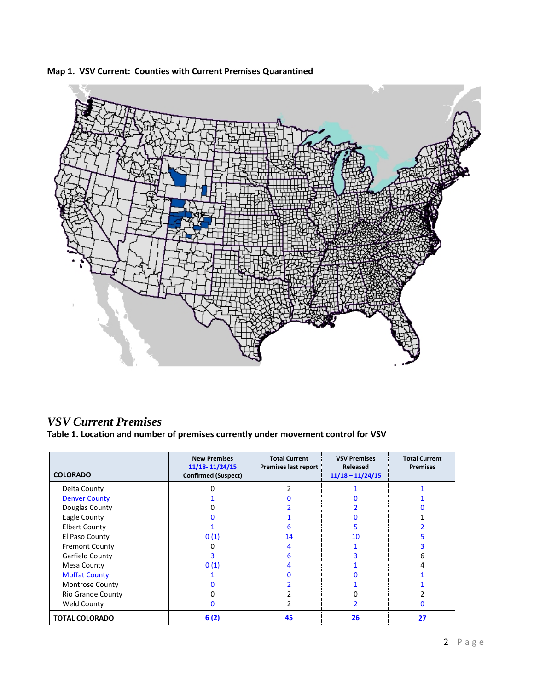

**Map 1. VSV Current: Counties with Current Premises Quarantined**

## *VSV Current Premises*

**Table 1. Location and number of premises currently under movement control for VSV**

| <b>COLORADO</b>          | <b>New Premises</b><br>11/18-11/24/15<br><b>Confirmed (Suspect)</b> | <b>Total Current</b><br>Premises last report | <b>VSV Premises</b><br>Released<br>$11/18 - 11/24/15$ | <b>Total Current</b><br><b>Premises</b> |
|--------------------------|---------------------------------------------------------------------|----------------------------------------------|-------------------------------------------------------|-----------------------------------------|
| Delta County             | ŋ                                                                   |                                              |                                                       |                                         |
| <b>Denver County</b>     |                                                                     |                                              |                                                       |                                         |
| Douglas County           |                                                                     |                                              |                                                       |                                         |
| Eagle County             |                                                                     |                                              |                                                       |                                         |
| <b>Elbert County</b>     |                                                                     | հ                                            |                                                       |                                         |
| El Paso County           | 0(1)                                                                | 14                                           | 10                                                    |                                         |
| <b>Fremont County</b>    |                                                                     | 4                                            |                                                       |                                         |
| Garfield County          |                                                                     | 6                                            |                                                       |                                         |
| Mesa County              | 0(1)                                                                | 4                                            |                                                       |                                         |
| <b>Moffat County</b>     |                                                                     |                                              |                                                       |                                         |
| <b>Montrose County</b>   |                                                                     |                                              |                                                       |                                         |
| <b>Rio Grande County</b> |                                                                     |                                              |                                                       |                                         |
| <b>Weld County</b>       | O                                                                   |                                              |                                                       |                                         |
| <b>TOTAL COLORADO</b>    | 6(2)                                                                | 45                                           | 26                                                    | 27                                      |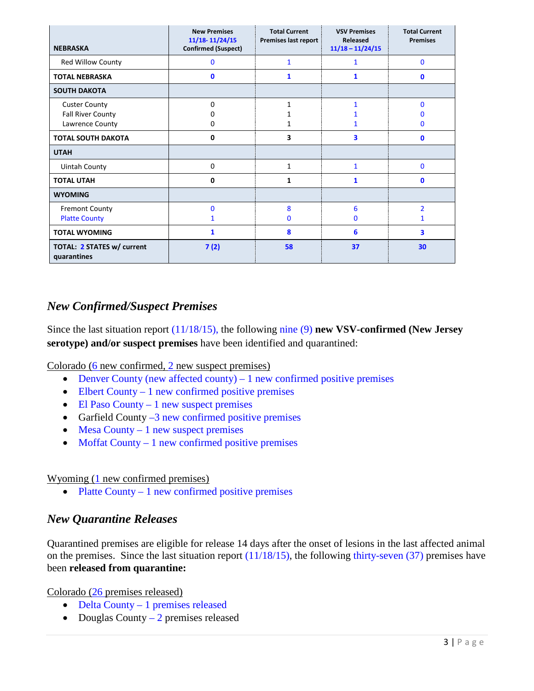| <b>NEBRASKA</b>                                              | <b>New Premises</b><br>11/18-11/24/15<br><b>Confirmed (Suspect)</b> | <b>Total Current</b><br>Premises last report | <b>VSV Premises</b><br>Released<br>$11/18 - 11/24/15$ | <b>Total Current</b><br><b>Premises</b> |
|--------------------------------------------------------------|---------------------------------------------------------------------|----------------------------------------------|-------------------------------------------------------|-----------------------------------------|
| <b>Red Willow County</b>                                     | $\bf{0}$                                                            | 1                                            | $\mathbf{1}$                                          | $\mathbf{0}$                            |
| <b>TOTAL NEBRASKA</b>                                        | $\mathbf{0}$                                                        | 1                                            | 1                                                     | $\mathbf{0}$                            |
| <b>SOUTH DAKOTA</b>                                          |                                                                     |                                              |                                                       |                                         |
| <b>Custer County</b><br>Fall River County<br>Lawrence County | 0<br>0                                                              | 1                                            |                                                       | O<br>O                                  |
| <b>TOTAL SOUTH DAKOTA</b>                                    | 0                                                                   | 3                                            | 3                                                     | 0                                       |
| <b>UTAH</b>                                                  |                                                                     |                                              |                                                       |                                         |
| <b>Uintah County</b>                                         | 0                                                                   | 1                                            | $\mathbf{1}$                                          | $\bf{0}$                                |
| <b>TOTAL UTAH</b>                                            | 0                                                                   | 1                                            | 1                                                     | 0                                       |
| <b>WYOMING</b>                                               |                                                                     |                                              |                                                       |                                         |
| <b>Fremont County</b><br><b>Platte County</b>                | $\mathbf{0}$                                                        | 8<br>$\Omega$                                | 6<br>O                                                | $\overline{\mathcal{L}}$                |
| <b>TOTAL WYOMING</b>                                         | 1                                                                   | 8                                            | 6                                                     | 3                                       |
| TOTAL: 2 STATES w/ current<br>quarantines                    | 7(2)                                                                | 58                                           | 37                                                    | 30                                      |

## *New Confirmed/Suspect Premises*

Since the last situation report (11/18/15), the following nine (9) **new VSV-confirmed (New Jersey serotype) and/or suspect premises** have been identified and quarantined:

Colorado (6 new confirmed, 2 new suspect premises)

- Denver County (new affected county)  $-1$  new confirmed positive premises
- Elbert County 1 new confirmed positive premises
- El Paso County 1 new suspect premises
- Garfield County  $-3$  new confirmed positive premises
- Mesa County  $-1$  new suspect premises
- Moffat County  $-1$  new confirmed positive premises

#### Wyoming (1 new confirmed premises)

• Platte County  $-1$  new confirmed positive premises

#### *New Quarantine Releases*

Quarantined premises are eligible for release 14 days after the onset of lesions in the last affected animal on the premises. Since the last situation report  $(11/18/15)$ , the following thirty-seven  $(37)$  premises have been **released from quarantine:**

Colorado (26 premises released)

- Delta County 1 premises released
- Douglas County  $-2$  premises released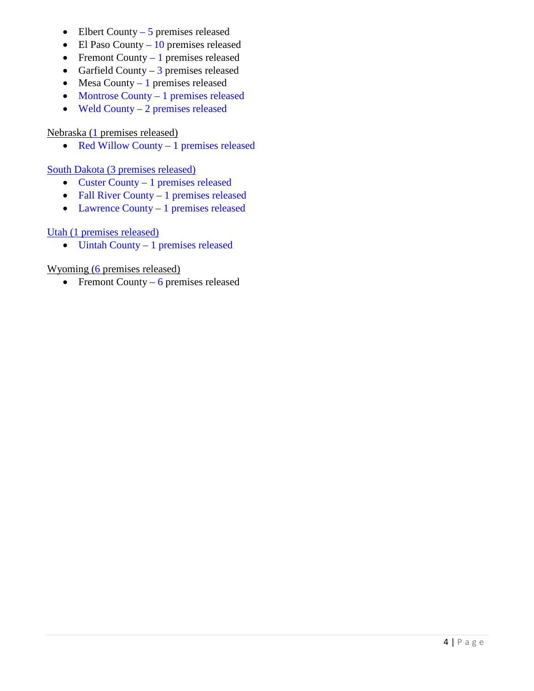- Elbert County  $-5$  premises released
- El Paso County  $10$  premises released
- Fremont County  $-1$  premises released
- Garfield County 3 premises released
- Mesa County 1 premises released
- Montrose County 1 premises released
- Weld County 2 premises released

#### Nebraska (1 premises released)

• Red Willow County – 1 premises released

#### South Dakota (3 premises released)

- Custer County 1 premises released
- Fall River County 1 premises released
- Lawrence County 1 premises released

#### Utah (1 premises released)

• Uintah County – 1 premises released

#### Wyoming (6 premises released)

• Fremont County – 6 premises released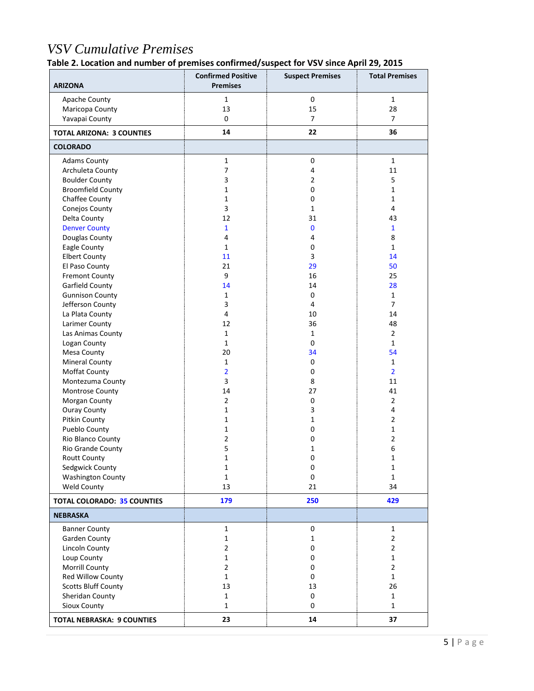# *VSV Cumulative Premises*

**Table 2. Location and number of premises confirmed/suspect for VSV since April 29, 2015**

| <b>ARIZONA</b>                     | <b>Confirmed Positive</b><br><b>Premises</b> | <b>Suspect Premises</b> | <b>Total Premises</b> |
|------------------------------------|----------------------------------------------|-------------------------|-----------------------|
| Apache County                      | $\mathbf{1}$                                 | $\pmb{0}$               | $\mathbf{1}$          |
| Maricopa County                    | 13                                           | 15                      | 28                    |
| Yavapai County                     | $\mathbf 0$                                  | $\overline{7}$          | $\overline{7}$        |
| <b>TOTAL ARIZONA: 3 COUNTIES</b>   | 14                                           | 22                      | 36                    |
| <b>COLORADO</b>                    |                                              |                         |                       |
| <b>Adams County</b>                | $\mathbf{1}$                                 | 0                       | $\mathbf{1}$          |
| Archuleta County                   | 7                                            | 4                       | 11                    |
| <b>Boulder County</b>              | 3                                            | $\overline{2}$          | 5                     |
| <b>Broomfield County</b>           | 1                                            | 0                       | $\mathbf{1}$          |
| Chaffee County                     | 1                                            | 0                       | $\mathbf{1}$          |
| Conejos County                     | 3                                            | $\mathbf{1}$            | $\overline{4}$        |
| Delta County                       | 12                                           | 31                      | 43                    |
| <b>Denver County</b>               | $\mathbf{1}$                                 | $\bf{0}$                | $\mathbf{1}$          |
| Douglas County                     | 4                                            | 4                       | 8                     |
| Eagle County                       | $\mathbf{1}$                                 | 0                       | $\mathbf{1}$          |
| <b>Elbert County</b>               | 11                                           | 3                       | 14                    |
| El Paso County                     | 21                                           | 29                      | 50                    |
| <b>Fremont County</b>              | 9                                            | 16                      | 25                    |
| Garfield County                    | 14                                           | 14                      | 28                    |
| <b>Gunnison County</b>             | $\mathbf{1}$                                 | 0                       | $\mathbf{1}$          |
| Jefferson County                   | 3                                            | 4                       | $\overline{7}$        |
| La Plata County                    | $\overline{4}$                               | 10                      | 14                    |
| Larimer County                     | 12                                           | 36                      | 48                    |
| Las Animas County                  | $\mathbf{1}$                                 | $\mathbf{1}$            | $\overline{2}$        |
| Logan County                       | $\mathbf{1}$                                 | 0                       | $\mathbf{1}$          |
| Mesa County                        | 20                                           | 34                      | 54                    |
| <b>Mineral County</b>              | $\mathbf{1}$                                 | 0                       | $\mathbf{1}$          |
| Moffat County                      | $\overline{2}$                               | 0                       | $\overline{2}$        |
| Montezuma County                   | 3                                            | 8                       | 11                    |
| Montrose County                    | 14                                           | 27                      | 41                    |
| Morgan County                      | $\overline{2}$                               | 0                       | $\overline{2}$        |
| <b>Ouray County</b>                | $\mathbf 1$                                  | 3                       | 4                     |
| Pitkin County                      | 1                                            | $\mathbf{1}$            | $\overline{2}$        |
| Pueblo County                      | $\mathbf{1}$                                 | 0                       | $\mathbf{1}$          |
| Rio Blanco County                  | $\overline{2}$                               | 0                       | $\overline{2}$        |
| Rio Grande County                  | 5                                            | $\mathbf{1}$            | 6                     |
| Routt County                       | $\mathbf{1}$                                 | 0                       | 1                     |
| Sedgwick County                    | 1                                            | 0                       | $\mathbf{1}$          |
| <b>Washington County</b>           | $\mathbf{1}$                                 | 0                       | $\mathbf{1}$          |
| Weld County                        | 13                                           | 21                      | 34                    |
| <b>TOTAL COLORADO: 35 COUNTIES</b> | 179                                          | 250                     | 429                   |
| <b>NEBRASKA</b>                    |                                              |                         |                       |
| <b>Banner County</b>               | $\mathbf{1}$                                 | $\pmb{0}$               | $\mathbf{1}$          |
| Garden County                      | $\mathbf 1$                                  | $\mathbf 1$             | $\overline{2}$        |
| <b>Lincoln County</b>              | $\overline{2}$                               | 0                       | $\overline{2}$        |
| Loup County                        | 1                                            | 0                       | $\mathbf 1$           |
| Morrill County                     | $\overline{2}$                               | 0                       | $\overline{2}$        |
| Red Willow County                  | $\mathbf{1}$                                 | 0                       | $\mathbf{1}$          |
| <b>Scotts Bluff County</b>         | 13                                           | 13                      | 26                    |
| Sheridan County                    | $\mathbf{1}$                                 | 0                       | $\mathbf 1$           |
| Sioux County                       | $\mathbf{1}$                                 | 0                       | $\mathbf{1}$          |
| <b>TOTAL NEBRASKA: 9 COUNTIES</b>  | 23                                           | 14                      | 37                    |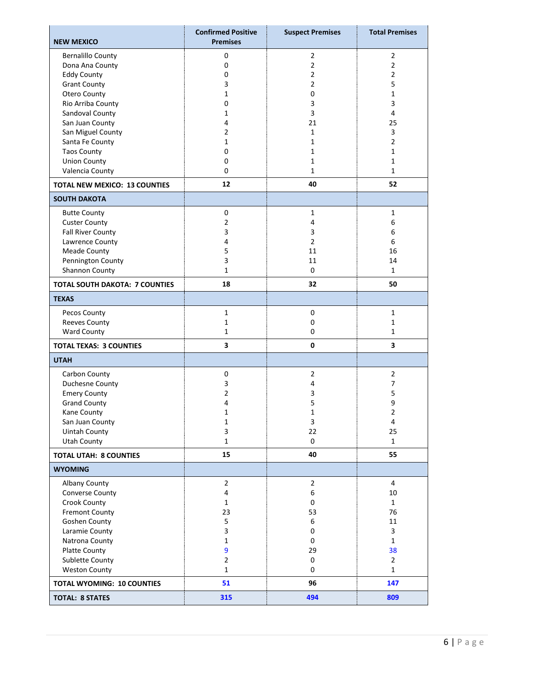| <b>NEW MEXICO</b>                     | <b>Confirmed Positive</b><br><b>Premises</b> | <b>Suspect Premises</b> | <b>Total Premises</b> |
|---------------------------------------|----------------------------------------------|-------------------------|-----------------------|
| <b>Bernalillo County</b>              | 0                                            | $\overline{2}$          | 2                     |
| Dona Ana County                       | $\mathbf 0$                                  | $\overline{2}$          | 2                     |
| <b>Eddy County</b>                    | 0                                            | $\overline{2}$          | $\overline{2}$        |
| <b>Grant County</b>                   | 3                                            | $\overline{2}$          | 5                     |
| Otero County                          | 1                                            | 0                       | 1                     |
| Rio Arriba County                     | 0                                            | 3                       | 3                     |
| Sandoval County                       | $\mathbf{1}$                                 | 3                       | 4                     |
| San Juan County                       | 4                                            | 21                      | 25                    |
| San Miguel County                     | $\overline{2}$                               | $\mathbf{1}$            | 3                     |
| Santa Fe County                       | 1                                            | 1                       | 2                     |
| <b>Taos County</b>                    | 0                                            | 1                       | 1                     |
| <b>Union County</b>                   | 0                                            | $\mathbf{1}$            | 1                     |
| Valencia County                       | 0                                            | $\mathbf{1}$            | $\mathbf{1}$          |
| <b>TOTAL NEW MEXICO: 13 COUNTIES</b>  | 12                                           | 40                      | 52                    |
| <b>SOUTH DAKOTA</b>                   |                                              |                         |                       |
| <b>Butte County</b>                   | $\mathbf 0$                                  | $\mathbf{1}$            | 1                     |
| <b>Custer County</b>                  | $\overline{2}$                               | 4                       | 6                     |
| <b>Fall River County</b>              | 3                                            | 3                       | 6                     |
| Lawrence County                       | 4                                            | $\overline{2}$          | 6                     |
| <b>Meade County</b>                   | 5                                            | 11                      | 16                    |
| Pennington County                     | 3                                            | 11                      | 14                    |
| Shannon County                        | $\mathbf{1}$                                 | $\Omega$                | $\mathbf{1}$          |
| <b>TOTAL SOUTH DAKOTA: 7 COUNTIES</b> | 18                                           | 32                      | 50                    |
| <b>TEXAS</b>                          |                                              |                         |                       |
| Pecos County                          | $\mathbf{1}$                                 | $\pmb{0}$               | $\mathbf{1}$          |
| Reeves County                         | 1                                            | $\mathbf 0$             | 1                     |
| Ward County                           | $\mathbf{1}$                                 | 0                       | 1                     |
| <b>TOTAL TEXAS: 3 COUNTIES</b>        | 3                                            | 0                       | 3                     |
| <b>UTAH</b>                           |                                              |                         |                       |
| Carbon County                         | $\mathbf 0$                                  | $\overline{2}$          | $\overline{2}$        |
| Duchesne County                       | 3                                            | $\sqrt{4}$              | 7                     |
| <b>Emery County</b>                   | $\overline{2}$                               | 3                       | 5                     |
| <b>Grand County</b>                   | 4                                            | 5                       | 9                     |
| Kane County                           | 1                                            | $\mathbf{1}$            | $\overline{2}$        |
| San Juan County                       | $\mathbf 1$                                  | $\mathsf 3$             | $\overline{4}$        |
| <b>Uintah County</b>                  | 3                                            | 22                      | 25                    |
| <b>Utah County</b>                    | $\mathbf{1}$                                 | $\mathbf 0$             | $\mathbf{1}$          |
| <b>TOTAL UTAH: 8 COUNTIES</b>         | 15                                           | 40                      | 55                    |
| <b>WYOMING</b>                        |                                              |                         |                       |
| Albany County                         | $\overline{2}$                               | $\overline{2}$          | $\overline{4}$        |
| Converse County                       | 4                                            | 6                       | 10                    |
| Crook County                          | $\mathbf{1}$                                 | $\mathbf 0$             | $\mathbf{1}$          |
| <b>Fremont County</b>                 | 23                                           | 53                      | 76                    |
| <b>Goshen County</b>                  | 5                                            | 6                       | 11                    |
| Laramie County                        | 3                                            | 0                       | 3                     |
| Natrona County                        | $\mathbf{1}$                                 | 0                       | $\mathbf{1}$          |
| Platte County                         | 9                                            | 29                      | 38                    |
| Sublette County                       | $\overline{2}$                               | $\mathbf 0$             | $\mathbf{2}$          |
| <b>Weston County</b>                  | $\mathbf{1}$                                 | 0                       | $\mathbf{1}$          |
| <b>TOTAL WYOMING: 10 COUNTIES</b>     | 51                                           | 96                      | 147                   |
| <b>TOTAL: 8 STATES</b>                | 315                                          | 494                     | 809                   |
|                                       |                                              |                         |                       |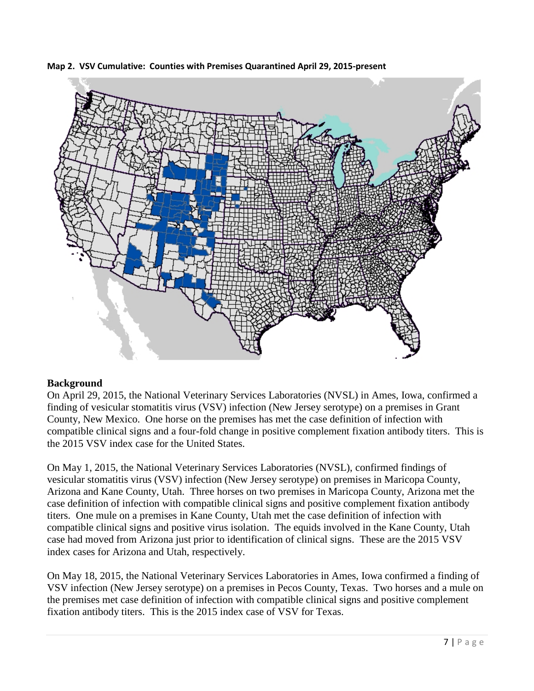

**Map 2. VSV Cumulative: Counties with Premises Quarantined April 29, 2015-present**

#### **Background**

On April 29, 2015, the National Veterinary Services Laboratories (NVSL) in Ames, Iowa, confirmed a finding of vesicular stomatitis virus (VSV) infection (New Jersey serotype) on a premises in Grant County, New Mexico. One horse on the premises has met the case definition of infection with compatible clinical signs and a four-fold change in positive complement fixation antibody titers. This is the 2015 VSV index case for the United States.

On May 1, 2015, the National Veterinary Services Laboratories (NVSL), confirmed findings of vesicular stomatitis virus (VSV) infection (New Jersey serotype) on premises in Maricopa County, Arizona and Kane County, Utah. Three horses on two premises in Maricopa County, Arizona met the case definition of infection with compatible clinical signs and positive complement fixation antibody titers. One mule on a premises in Kane County, Utah met the case definition of infection with compatible clinical signs and positive virus isolation. The equids involved in the Kane County, Utah case had moved from Arizona just prior to identification of clinical signs. These are the 2015 VSV index cases for Arizona and Utah, respectively.

On May 18, 2015, the National Veterinary Services Laboratories in Ames, Iowa confirmed a finding of VSV infection (New Jersey serotype) on a premises in Pecos County, Texas. Two horses and a mule on the premises met case definition of infection with compatible clinical signs and positive complement fixation antibody titers. This is the 2015 index case of VSV for Texas.